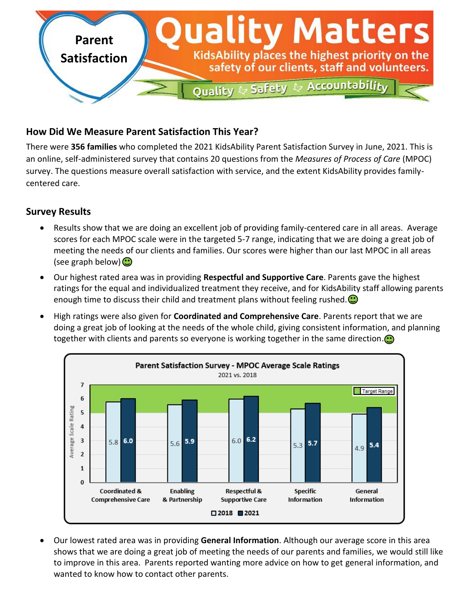

# **How Did We Measure Parent Satisfaction This Year?**

There were **356 families** who completed the 2021 KidsAbility Parent Satisfaction Survey in June, 2021. This is an online, self-administered survey that contains 20 questions from the *Measures of Process of Care* (MPOC) survey. The questions measure overall satisfaction with service, and the extent KidsAbility provides familycentered care.

## **Survey Results**

- Results show that we are doing an excellent job of providing family-centered care in all areas. Average scores for each MPOC scale were in the targeted 5-7 range, indicating that we are doing a great job of meeting the needs of our clients and families. Our scores were higher than our last MPOC in all areas (see graph below) $\bigodot$
- Our highest rated area was in providing **Respectful and Supportive Care**. Parents gave the highest ratings for the equal and individualized treatment they receive, and for KidsAbility staff allowing parents enough time to discuss their child and treatment plans without feeling rushed. $\bigcirc$
- High ratings were also given for **Coordinated and Comprehensive Care**. Parents report that we are doing a great job of looking at the needs of the whole child, giving consistent information, and planning together with clients and parents so everyone is working together in the same direction.  $\odot$



 Our lowest rated area was in providing **General Information**. Although our average score in this area shows that we are doing a great job of meeting the needs of our parents and families, we would still like to improve in this area. Parents reported wanting more advice on how to get general information, and wanted to know how to contact other parents.